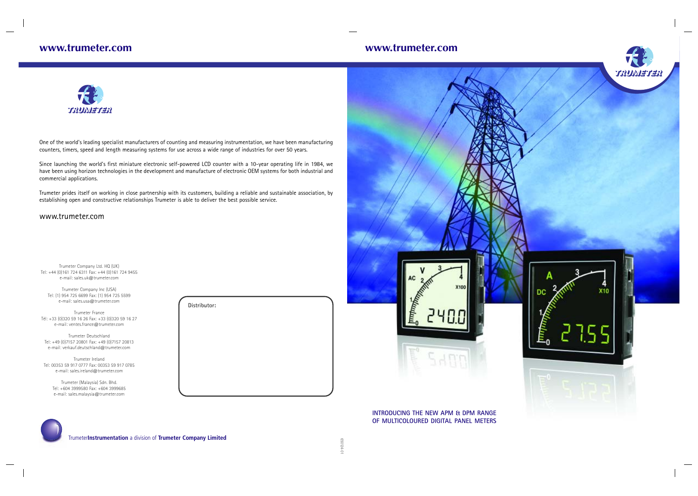# **www.trumeter.com www.trumeter.com**



Trumeter**Instrumentation** a division of **Trumeter Company Limited**

One of the world's leading specialist manufacturers of counting and measuring instrumentation, we have been manufacturing counters, timers, speed and length measuring systems for use across a wide range of industries for over 50 years.

Since launching the world's first miniature electronic self-powered LCD counter with a 10-year operating life in 1984, we have been using horizon technologies in the development and manufacture of electronic OEM systems for both industrial and commercial applications.

Trumeter prides itself on working in close partnership with its customers, building a reliable and sustainable association, by establishing open and constructive relationships Trumeter is able to deliver the best possible service.

> 10-t71059 650124-01



# www.trumeter.com

Trumeter Company Ltd. HQ (UK) Tel: +44 (0)161 724 6311 Fax: +44 (0)161 724 9455 e-mail: sales.uk@trumeter.com

Trumeter Company Inc (USA) Tel: (1) 954 725 6699 Fax: (1) 954 725 5599 e-mail: sales.usa@trumeter.com

Trumeter France Tél: +33 (0)320 59 16 26 Fax: +33 (0)320 59 16 27 e-mail: ventes.france@trumeter.com

Trumeter Deutschland Tel: +49 (0)7157 20801 Fax: +49 (0)7157 20813 e-mail: verkauf.deutschland@trumeter.com

Trumeter Ireland Tel: 00353 59 917 0777 Fax: 00353 59 917 0785 e-mail: sales.ireland@trumeter.com

Trumeter (Malaysia) Sdn. Bhd. Tel: +604 3999580 Fax: +604 3999685 e-mail: sales.malaysia@trumeter.com

| Distributor: |  |
|--------------|--|
|              |  |
|              |  |
|              |  |
|              |  |



### **INTRODUCING THE NEW APM & DPM RANGE OF MULTICOLOURED DIGITAL PANEL METERS**

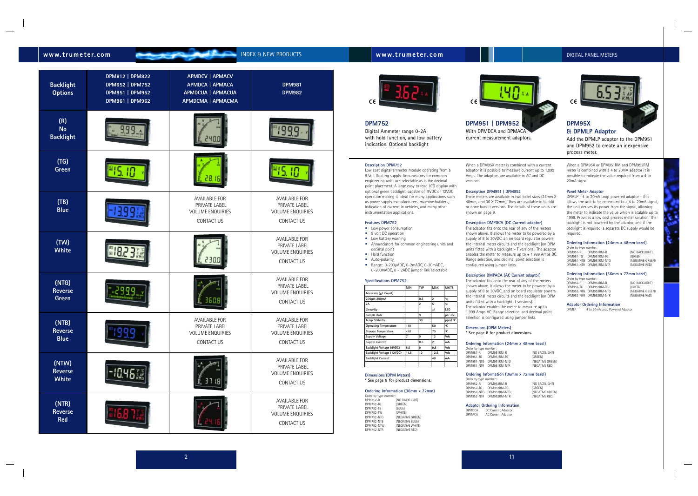# **DPM752** Digital Ammeter range 0-2A

with hold function, and low battery indication. Optional backlight

**Ordering Information (36mm x 72mm)** Order by type number: DPM752-R (NO BACKLIGHT) DPM752-TG (GREEN) DPM752-TB (BLUE)<br>DPM752-TW (WHITE)

(NEGATIVE RED)

DPM752-NTG (NEGATIVE GREEN)<br>DPM752-NTB (NEGATIVE BLUE) **DPM752-NTB** (NEGATIVE BLUE)<br>DPM752-NTW (NEGATIVE WHITE DPM752-NTW (NEGATIVE WHITE)<br>DPM752-NTR (NEGATIVE RED)

**Description DPM752**

When a DPM95X or DPM951RM and DPM952RM meter is combined with a 4 to 20mA adaptor it is possible to indicate the value required from a 4 to 20mA signal.

Low cost digital ammeter module operating from a 9 Volt floating supply. Annunciators for common engineering units are selectable as is the decimal point placement. A large easy to read LCD display with optional green backlight, capable of 9VDC or 12VDC

> Order by type number: DPM951-R DPM951RM-R (NO BACKLIGHT) DPM951-TG DPM951RM-TG (GREEN)<br>DPM951-NTG DPM951RM-NTG (NEGATIVE GREEN) DPM951-NTG DPM951RM-NTG (NEGATIVE GREEN) DPM951-NTR DPM951RM-NTR

instrumentation applications.

**Features DPM752** • Low power consumption • 9 volt DC operation • Low battery warning

• Annunciators for common engineering units and

decimal point • Hold function • Auto-polarity

• Range: 0-200µADC, 0-2mADC, 0-20mADC, 0–200mADC, 0 – 2ADC jumper link selectable

**Specifications DPM752**

**Dimensions (DPM Meters)**

**Operating Temperature -10** 

 $DPM752-TW$ 

**\* See page 8 for product dimensions.**

### **Panel Meter Adaptor**

operation making it ideal for many applications such as power supply manufacturers, machine builders, indication of current in vehicles, and many other These meters are available in two bezel sizes (24mm X 48mm, and 36 X 72mm), They are available in backlit or none backlit versions. The details of these units are shown on page 9.

DPMLP - 4 to 20mA Loop powered adaptor - this allows the unit to be connected to a 4 to 20mA signal, the unit derives its power from the signal, allowing the meter to indicate the value which is scalable up to 1999. Provides a low cost process meter solution. The backlight is not powered by the adaptor, and if the backlight is required, a separate DC supply would be required.

### **Ordering Information (24mm x 48mm bezel)**

### **Ordering Information (36mm x 72mm bezel)**

| <b>Backlight</b><br><b>Options</b>      | DPM812   DPM822<br>DPM652   DPM752<br>DPM951   DPM952<br>DPM961   DPM962 | <b>APMDCV   APMACV</b><br>APMDCA   APMACA<br>APMDCUA   APMACUA<br>APMDCMA   APMACMA   | <b>DPM981</b><br><b>DPM982</b>                                                        |
|-----------------------------------------|--------------------------------------------------------------------------|---------------------------------------------------------------------------------------|---------------------------------------------------------------------------------------|
| (R)<br><b>No</b><br><b>Backlight</b>    |                                                                          |                                                                                       |                                                                                       |
| (TG)<br><b>Green</b>                    |                                                                          |                                                                                       |                                                                                       |
| (TB)<br><b>Blue</b>                     |                                                                          | <b>AVAILABLE FOR</b><br>PRIVATE LABEL<br><b>VOLUME ENQUIRIES</b><br><b>CONTACT US</b> | <b>AVAILABLE FOR</b><br>PRIVATE LABEL<br><b>VOLUME ENQUIRIES</b><br><b>CONTACT US</b> |
| (TW)<br><b>White</b>                    |                                                                          | 30                                                                                    | <b>AVAILABLE FOR</b><br>PRIVATE LABEL<br><b>VOLUME ENQUIRIES</b><br>CONTACT US        |
| (NTG)<br><b>Reverse</b><br><b>Green</b> |                                                                          | ь                                                                                     | <b>AVAILABLE FOR</b><br>PRIVATE LABEL<br><b>VOLUME ENQUIRIES</b><br>CONTACT US        |
| (NTB)<br><b>Reverse</b><br><b>Blue</b>  |                                                                          | <b>AVAILABLE FOR</b><br>PRIVATE LABEL<br><b>VOLUME ENQUIRIES</b><br>CONTACT US        | <b>AVAILABLE FOR</b><br>PRIVATE LABEL<br><b>VOLUME ENQUIRIES</b><br>CONTACT US        |
| (NTW)<br><b>Reverse</b><br><b>White</b> |                                                                          |                                                                                       | <b>AVAILABLE FOR</b><br>PRIVATE LABEL<br><b>VOLUME ENQUIRIES</b><br>CONTACT US        |
| (NTR)<br><b>Reverse</b><br><b>Red</b>   |                                                                          |                                                                                       | <b>AVAILABLE FOR</b><br>PRIVATE LABEL<br><b>VOLUME ENQUIRIES</b><br>CONTACT US        |

**www.trumeter.com** INDEX & NEW PRODUCTS

# **www.trumeter.com DIGITAL PANEL METERS**



Order by type number: DPM952-R DPM952RM-R (NO BACKLIGHT) DPM952-TG DPM952RM-TG (GREEN) DPM952-NTG DPM952RM-NTG (NEGATIVE GREEN) DPM952-NTR DPM952RM-NTR (NEGATIVE RED)

# **Adaptor Ordering Information**<br>DPMIP 4 to 20mA Loop Powered

4 to 20mA Loop Powered Adaptor





When a DPM95X meter is combined with a current adaptor it is possible to measure current up to 1.999 Amps. The adaptors are available in AC and DC versions.

# **Description DPM951 | DPM952**

 $\epsilon$ 

### **Description DMPDCA (DC Current adaptor)**

The adaptor fits onto the rear of any of the meters shown above. It allows the meter to be powered by a supply of 8 to 30VDC, an on board regulator powers the internal meter circuits and the backlight (on DPM units fitted with a backlight – T versions). The adaptor enables the meter to measure up to  $\pm$  1.999 Amps DC. Range selection, and decimal point selection is configured using jumper links.

### **Description DMPACA (AC Current adaptor)**

The adaptor fits onto the rear of any of the meters shown above. It allows the meter to be powered by a supply of 8 to 30VDC, and on board regulator powers the internal meter circuits and the backlight (on DPM units fitted with a backlight–T versions).

The adaptor enables the meter to measure up to 1.999 Amps AC. Range selection, and decimal point selection is configured using jumper links.

# **Dimensions (DPM Meters)**

**\* See page 8 for product dimensions.**

DPM951-TG DPM

### **Ordering Information (24mm x 48mm bezel)**

| Order by type number: |                         |                  |
|-----------------------|-------------------------|------------------|
| DPM951-R              | DPM951RM-R              | (NO BACKLIGHT)   |
| DPM951-TG             | DPM951RM-TG             | (GREEN)          |
| DPM951-NTG            | DPM951RM-NTG            | (NEGATIVE GREEN) |
|                       | DPM951-NTR DPM951RM-NTR | (NEGATIVE RED)   |

# **Ordering Information (36mm x 72mm bezel)** Order by type number: DPM952-R DPM952RM-R (NO BACKLIGHT)

DPM952-TG DPM952RM-TG (GREEN) DPM952-NTG DPM952RM-NTG (NEGATIVE GREEN)

DPM952-NTR DPM952RM-NTR (NEGATIVE RED)

**Adaptor Ordering Information** DPMDCA DC Current Adaptor DPMACA AC Current Adaptor

**MIN TYP MAX UNITS**

**Accuracy (±1 Count)**

**200µA-200mA 0.5 2 %**

**2A 2 5 % Linearity ±1 LSD Sample Rate 3 per sec Temp Stability 30 ppm/ ºC**

**Storage Temperature -20 70 Supply Voltage 7 9 12 Vdc Supply Current 0.5 2 mA Backlight Voltage (9VDC) 8.5 9 9.5 Vdc Backlight Voltage (12VDC) 11.5 12 12.5 Vdc Backlight Current 10 | 40 | mA** 



# **& DPMLP Adaptor**

Add the DPMLP adaptor to the DPM951 and DPM952 to create an inexpensive process meter.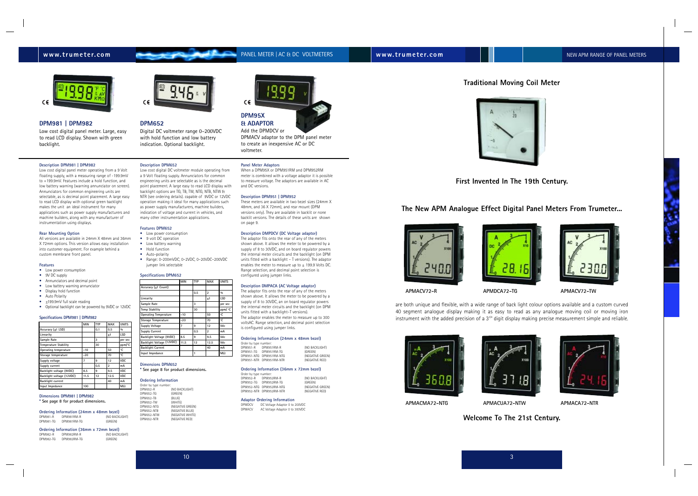# **Traditional Moving Coil Meter**

**First Invented In The 19th Century.**

are both unique and flexible, with a wide range of back light colour options available and a custom curved 40 segment analogue display making it as easy to read as any analogue moving coil or moving iron instrument with the added precision of a  $3^{3/4}$  digit display making precise measurement simple and reliable.





**The New APM Analogue Effect Digital Panel Meters From Trumeter...**



**Welcome To The 21st Century.**



# **www.trumeter.com example and the PANEL METER | AC & DC VOLTMETERS New W.trumeter.com New APM RANGE OF PANEL METERS**

# **DPM652**

Digital DC voltmeter range 0–200VDC with hold function and low battery indication. Optional backlight.

### **Description DPM652**

- Low power consumption
- 9 volt DC operation
- Low battery warning
- Hold function
- Auto-polarity
- Range: 0-200mVDC, 0–2VDC, 0–20VDC–200VDC jumper link selectable

Low cost digital DC voltmeter module operating from a 9 Volt floating supply. Annunciators for common engineering units are selectable as is the decimal point placement. A large easy to read LCD display with backlight options are TG, TB, TW, NTG, NTB, NTW & NTR (see ordering details). capable of 9VDC or 12VDC operation making it ideal for many applications such as power supply manufacturers, machine builders, indication of voltage and current in vehicles, and many other instrumentation applications.

### **Features DPM652**

### **Specifications DPM652**

### **Dimensions DPM652**

**\* See page 8 for product dimensions.**

### **Ordering Information**

| Order by type number: |                  |
|-----------------------|------------------|
| DPM652-R              | (NO BACKLIGHT)   |
| DPM652-TG             | (GREEN)          |
| DPM652-TB             | (BLUE)           |
| DPM652-TW             | (WHITE)          |
| DPM652-NTG            | (NEGATIVE GREEN) |
| DPM652-NTB            | (NEGATIVE BLUE)  |
| DPM652-NTW            | (NEGATIVE WHITE) |
| DPM652-NTR            | (NEGATIVE RED)   |
|                       |                  |



Order by type number: DPM951-R DPM951RM-R (NO BACKLIGHT) DPM951-TG DPM951RM-TG (GREEN) DPM951-NTG DPM951RM-NTG (NEGATIVE GREEN) DPM951-NTR DPM951RM-NTR

|                              | MIN   | TYP | MAX            | UNITS         |
|------------------------------|-------|-----|----------------|---------------|
| Accuracy (+1 Count)          |       |     |                |               |
|                              |       | 0.5 | $\overline{2}$ | $\frac{q}{q}$ |
| Linearity                    |       |     | ±1             | LSD           |
| Sample Rate                  |       | 3   |                | per sec       |
| Temp Stability               |       | 30  |                | ppm/ °C       |
| <b>Operating Temperature</b> | $-10$ |     | 50             | ۰C            |
| Storage Temperature          | $-20$ |     | 70             | ۰C            |
| Supply Voltage               | 7     | 9   | 12             | Vdc           |
| <b>Supply Current</b>        |       | 0.5 | 2              | mA            |
| Backlight Voltage (9VDC)     | 8.5   | 9   | 9.5            | Vdc           |
| Backlight Voltage (12VDC)    | 11.5  | 12  | 12.5           | Vdc           |
| <b>Backlight Current</b>     |       |     | 40             | mA            |
| Input Impedance              |       | 1   |                | $M\Omega$     |

### **Panel Meter Adaptors**

When a DPM95X or DPM951RM and DPM952RM meter is combined with a voltage adaptor it is possible to measure voltage. The adaptors are available in AC and DC versions.

### **Description DPM951 | DPM952**

These meters are available in two bezel sizes (24mm X 48mm, and 36 X 72mm), and rear mount (DPM versions only). They are available in backlit or none backlit versions. The details of these units are shown on page 9.

- Low power consumption
- 9V DC supply
- Annunciators and decimal point • Low battery warning annunciator
- Display hold function
- Auto Polarity
- $\bullet$   $\pm$ 199.9mV full scale reading
- Optional backlight can be powered by 9VDC or 12VDC

### **Description DMPDCV (DC Voltage adaptor)**

The adaptor fits onto the rear of any of the meters shown above. It allows the meter to be powered by a supply of 8 to 30VDC, and on board regulator powers the internal meter circuits and the backlight (on DPM units fitted with a backlight – T versions). The adaptor enables the meter to measure up to  $+$  199.9 Volts DC. Range selection, and decimal point selection is configured using jumper links.

### **Description DMPACA (AC Voltage adaptor)**

The adaptor fits onto the rear of any of the meters shown above. It allows the meter to be powered by a supply of 8 to 30VDC, an on board regulator powers the internal meter circuits and the backlight (on DPM units fitted with a backlight–T versions). The adaptor enables the meter to measure up to 300 voltsAC. Range selection, and decimal point selection is configured using jumper links.

### **Ordering Information (24mm x 48mm bezel)**

### **Ordering Information (36mm x 72mm bezel)**

DPM952-R DPM952RM-R (NO BACKLIGHT)<br>DPM952-TG DPM952RM-TG (GREEN) DPM952-TG DPM952RM-TG (GREEN) DPM952-NTG DPM952RM-NTG (NEGATIVE GREEN) DPM952-NTR DPM952RM-NTR

Order by type number:

### **Adaptor Ordering Information**

DPMDCV DC Voltage Adaptor 0 to 200VDC DPMACV AC Voltage Adaptor 0 to 300VDC







# **DPM95X & ADAPTOR**

Add the DPMDCV or DPMACV adaptor to the DPM panel meter to create an inexpensive AC or DC voltmeter.

### **Description DPM981 | DPM982**

Low cost digital panel meter operating from a 9 Volt floating supply, with a measuring range of -199.9mV to +199.9mV. Features include a hold function, and low battery warning (warning annunciator on screen). Annunciators for common engineering units are selectable, as is decimal point placement. A large easy to read LCD display with optional green backlight makes the unit an ideal instrument for many applications such as power supply manufacturers and machine builders, along with any manufacturer of instrumentation using displays.

### **Rear Mounting Option**

All versions are available in 24mm X 48mm and 36mm X 72mm options. This version allows easy installation into customer equipment. For example behind a custom membrane front panel.

### **Features**

### **Specifications DPM981 | DPM982**

### **Dimensions DPM981 | DPM982 \* See page 8 for product dimensions.**

|           |             | Ordering Information (24mm x 48mm bezel) |
|-----------|-------------|------------------------------------------|
| DPM981-R  | DPM981RM-R  | (NO BACKLIGHT)                           |
| DPM981-TG | DPM981RM-TG | (GREEN)                                  |

# **Ordering Information (36mm x 72mm bezel)**<br> **DPM982-R** DPM982RM-R (NO BACKLIGHT)

| DPM982-R  | DPM982RM-R  | (NO BACKLIGHT) |
|-----------|-------------|----------------|
| DPM982-TG | DPM982RM-TG | (GREEN)        |





### **DPM981 | DPM982**

Low cost digital panel meter. Large, easy to read LCD display. Shown with green backlight.

|                              | MIN   | <b>TYP</b> | MAX            | <b>UNITS</b>   |
|------------------------------|-------|------------|----------------|----------------|
| Accuracy (+1 LSD)            |       | 0.1        | 0.5            | 0/0            |
| Linearity                    |       |            | ±1             | LSD            |
| Sample Rate                  |       | 3          |                | per sec        |
| <b>Temperature Stability</b> |       | 30         |                | ppm/°C         |
| Operating temperature        | $-10$ |            | 50             | ۰c             |
| Storage temperature          | $-20$ |            | 70             | ۰c             |
| Supply voltage               | 7     | 9          | 12             | VDC.           |
| Supply current               |       | 0.5        | $\overline{2}$ | mA             |
| Backlight voltage (9VDC)     | 8.5   | 9          | 9.5            | <b>VDC</b>     |
| Backlight voltage (12VDC)    | 11.5  | 12         | 12.5           | VDC            |
| <b>Backlight current</b>     |       |            | 40             | mA             |
| Input Impedance              | 100   |            |                | M <sub>2</sub> |



**APMACV72-R APMDCA72-TG APMACV72-TW**





**APMACMA72-NTG APMACUA72-NTW APMACA72-NTR**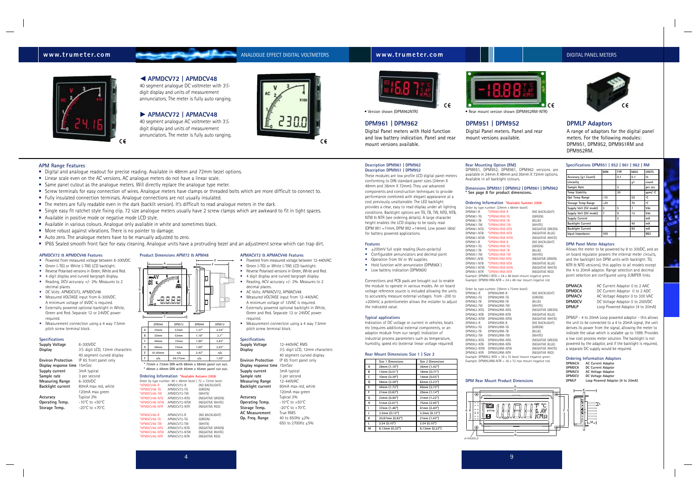### **www.trumeter.com ANALOGUE EFFECT DIGITAL VOLTMETERS www.trumeter.com** DIGITAL **DIGITAL PANEL METERS**



# **DPM951 | DPM952**

Digital Panel meters. Panel and rear mount versions available.

### **DPMLP Adaptors**

A range of adaptors for the digital panel meters. For the following modules: DPM951, DPM952, DPM951RM and DPM952RM.

### **DPM961 | DPM962**

Digital Panel meters with Hold function and low battery indication. Panel and rear mount versions available.



- $\bullet$   $\pm$ 200mV full scale reading (Auto-polarity)
- Configurable annunciators and decimal point
- Operation from 5V or 9V supplies.
- Hold function with annunciator (DPM96X)
- Low battery indication (DPM96X)

components and construction techniques to provide performance combined with elegant appearance at a cost previously unattainable. The LED backlight provides a clear, easy to read display under all lighting conditions. Backlight options are TG, TB, TW, NTG, NTB, NTW & NTR (see ordering details). A large character height enables the LCD display to be easily read (DPM 9X1 =11mm, DPM 9X2 =14mm). Low power ideal for battery powered applications.

### **Features**

Connections and PCB pads are brought out to enable the module to operate in various modes. An on board voltage reference source is included allowing the units to accurately measure external voltages from -200 to +200mV, a potentiometer allows the installer to adjust the indicated value.

### **Typical applications**

Indication of DC voltage or current in vehicles, boats etc (requires additional external components, or an adaptor module from our range). Indication of industrial process parameters such as temperature, humidity, speed etc (external linear voltage required)

### **Rear Mount Dimensions Size 1 | Size 2**

**Rear Mounting Option (RM)** DPM951, DPM952, DPM961, DPM962 versions are available in 24mm X 48mm and 36mm X 72mm options. Available in all backlight colours.

> **DPMACA** AC Current Adaptor 0 to 2 AAC<br> **DPMDCA** DC Current Adaptor 0 to 2 ADC **DPMDCA** DC Current Adaptor 0 to 2 ADC<br> **DPMACV** AC Voltage Adaptor 0 to 300 VAC **DPMACV** AC Voltage Adaptor 0 to 300 VAC<br> **DPMDCV** DC Voltage Adaptor 0 to 200VDC DC Voltage Adaptor 0 to 200VDC **DPMLP** Loop Powered Adaptor (4 to 20mA)

# **Dimensions DPM951 | DPM952 | DPM961 | DPM962 \* See page 8 for product dimensions.**

### **Ordering Information \*Available Summer 2008**

**Current Adaptor Current Adaptor Voltage Adaptor Voltage Adaptor DPMLP Loop Powered Adaptor (4 to 20mA)**



|            | Order by type number: (24mm x 48mm bezel)                 |                  |
|------------|-----------------------------------------------------------|------------------|
| DPM961-R   | *DPM961RM-R                                               | (NO BACKLIGHT)   |
| DPM961-TG  | *DPM961RM-TG                                              | (GREEN)          |
| DPM961-TB  | *DPM961RM-TB                                              | (BLUE)           |
| DPM961-TW  | *DPM961RM-TW                                              | (WHITE)          |
| DPM961-NTG | *DPM961RM-NTG                                             | (NEGATIVE GREEN  |
| DPM961-NTB | *DPM961RM-NTB                                             | (NEGATIVE BLUE)  |
| DPM961-NTW | *DPM961RM-NTW                                             | (NEGATIVE WHITE) |
| DPM951-R   | *DPM951RM-R                                               | (NO BACKLIGHT)   |
| DPM951-TG  | *DPM951RM-TG                                              | (GREEN)          |
| DPM951-TB  | *DPM951RM-TB                                              | (BLUE)           |
| DPM951-TW  | *DPM951RM-TW                                              | (WHITE)          |
| DPM951-NTG | *DPM951RM-NTG                                             | (NEGATIVE GREEN) |
| DPM951-NTB | *DPM951RM-NTB                                             | (NEGATIVE BLUE)  |
| DPM951-NTW | *DPM951RM-NTW                                             | (NEGATIVE WHITE) |
| DPM951-NTR | *DPM951RM-NTR                                             | (NEGATIVE RED)   |
|            | Example: DPM951-NTG = 24 x 48 bezel mount negative green. |                  |

Example: DPM951RM-NTR = 24 x 48 rear mount negative red.

|                                                                  | Order by type number: (36mm x 72mm bezel) |                  |  |  |
|------------------------------------------------------------------|-------------------------------------------|------------------|--|--|
| DPM962-R                                                         | DPM962RM-R                                | (NO BACKLIGHT)   |  |  |
| DPM962-TG                                                        | DPM962RM-TG                               | (GREEN)          |  |  |
| DPM962-TB                                                        | DPM962RM-TB                               | (BLUE)           |  |  |
| DPM962-TW                                                        | DPM962RM-TW                               | (WHITE)          |  |  |
| DPM962-NTG                                                       | DPM962RM-NTG                              | (NEGATIVE GREEN) |  |  |
| DPM962-NTB                                                       | DPM962RM-NTB                              | (NEGATIVE BLUE)  |  |  |
| DPM962-NTW                                                       | DPM962RM-NTW                              | (NEGATIVE WHITE) |  |  |
| DPM952-R                                                         | DPM952RM-R                                | (NO BACKLIGHT)   |  |  |
| DPM952-TG                                                        | DPM952RM-TG                               | (GREEN)          |  |  |
| DPM952-TB                                                        | DPM952RM-TB                               | (BLUE)           |  |  |
| DPM952-TW                                                        | DPM952RM-TW                               | (WHITE)          |  |  |
| DPM952-NTG                                                       | DPM952RM-NTG                              | (NEGATIVE GREEN) |  |  |
| DPM952-NTB                                                       | DPM952RM-NTB                              | (NEGATIVE BLUE)  |  |  |
| DPM952-NTW                                                       | DPM952RM-NTW                              | (NEGATIVE WHITE) |  |  |
| DPM952-NTR                                                       | DPM952RM-NTR                              | (NEGATIVE RED)   |  |  |
| Example: DPM952-NTG = $36 \times 72$ bezel mount negative green. |                                           |                  |  |  |

\*APMACV48-R APMACV72-R (NO BACKLIGHT) APMACV72-TG \*APMACV48-TW APMACV72-TW (WHITE) \*<br>(NEGATIVE GREEN)<br>(NEGATIVE WHITE) \*APMACV48-NTW APMACV72-NTW (NEGATIVE WHIT<br>\*APMACV48-NTR APMACV72-NTR (NEGATIVE RED) APMACV72-NTR

Example: DPM952RM-NTR = 36 x 72 rear mount negative red.

### **DPM Rear Mount Product Dimensions**

### **Specifications DPM951 | 952 | 961 | 962 | RM**

### **DPM Panel Meter Adaptors**

 $3^{3}/_{4}$  digit LCD, 12mm characters 40 segment curved display

Allows the meter to be powered by 8 to 30VDC, and an on board regulator powers the internal meter circuits, and the backlight (on DPM units with backlight: TG, NTR & NTG versions), this applies to all models except the 4 to 20mA adaptor. Range selection and decimal point selection are configured using JUMPER links.

DPMLP - 4 to 20mA Loop powered adaptor - this allows the unit to be connected to a 4 to 20mA signal, the unit derives its power from the signal, allowing the meter to indicate the value which is scalable up to 1999. Provides a low cost process meter solution. The backlight is not powered by the adaptor, and if the backlight is required, a separate DC supply would be required.

### **Ordering Information Adaptors**

| . .    |    |
|--------|----|
| DPMACA | AC |
| DPMDCA | DC |
| DPMACV | AC |
| DPMDCV | DC |
| DPMI P | Ι٥ |

|                          | <b>MIN</b> | <b>TYP</b> | MAX | <b>UNITS</b> |
|--------------------------|------------|------------|-----|--------------|
| Accuracy (±1 Count)      |            | 0.1        | 0.1 | $\%$         |
| Linearity                |            |            | ±1  | count        |
| Sample Rate              |            | 3          |     | per sec      |
| <b>Temp Stability</b>    |            | 30         |     | ppm/ °C      |
| Opt Temp Range           | -10        |            | 50  | ۰c           |
| Storage Temp Range       | $-20$      |            | 70  | ۰C           |
| Supply Volt (5V mode)    | 3          | 5          | 7   | Vdc          |
| Supply Volt (9V mode)    | 7          | 9          | 12  | Vdc          |
| <b>Supply Current</b>    |            | 2          |     | mA           |
| <b>Backlight Current</b> |            |            | 40  | mA           |
| <b>Backlight Current</b> |            |            | 80  | mA           |
| Input Impedance          | 100        |            |     | $M\Omega$    |

• Version shown (DPM962NTR) • Rear mount version shown (DPM952RM-NTR)

### **APMDCV72 & APMDCV48 Features**

- Powered from measured voltage between 6-300VDC.
- Green (-TG) or White (-TW) LCD backlight.
- Reverse Polarised versions in Green, White and Red.
- 4 digit display and curved bargraph display. • Reading, DCV accuracy +/- 2%. Measures to 2
- decimal places.
- DC Volts: APMDCV72, APMDCV48
- Measured VOLTAGE input from 6-300VDC. A minimum voltage of 6VDC is required.
- Externally powered optional backlight in White, Green and Red. Separate 12 or 24VDC power required.
- Measurement connection using a 4 way 7.5mm pitch screw terminal block.

### **Specifications**

| Supply Voltage               | 6-300VDC                                                 |
|------------------------------|----------------------------------------------------------|
| Display                      | 3 <sup>3</sup> / <sub>4</sub> digit LCD, 12mm characters |
|                              | 40 segment curved display                                |
| <b>Environ Protection</b>    | IP 65 front panel only                                   |
| Display response time 15mSec |                                                          |
| Supply current               | 3mA typical                                              |
| Sample rate                  | 3 per second                                             |
| <b>Measuring Range</b>       | 6-300VDC                                                 |
| <b>Backlight current</b>     | 80mA max red, white                                      |
|                              | 120mA max green                                          |
| Accuracy                     | Typical 2%                                               |
| Operating Temp.              | $-10^{\circ}$ C to $+50^{\circ}$ C                       |
| Storage Temp.                | $-20^{\circ}$ C to $+70^{\circ}$ C.                      |
|                              |                                                          |

|               | Ordering Information *Available Autumn 2008                |                  |
|---------------|------------------------------------------------------------|------------------|
|               | Order by type number: $48 = 48$ mm bezel   72 = 72mm bezel |                  |
| *APMDCV48-R   | APMDCV72-R                                                 | (NO BACKLIGHT)   |
| *APMDCV48-TG  | APMDCV72-TG                                                | (GREEN)          |
| *APMDCV48-TW  | APMDCV72-TW                                                | (WHITE)          |
| *APMDCV48-NTG | APMDCV72-NTG                                               | (NEGATIVE GREEN) |
| *APMDCV48-NTW | APMDCV72-NTW                                               | (NEGATIVE WHITE) |
| *APMDCV48-NTR | APMDCV72-NTR                                               | (NEGATIVE RED)   |

**APMACV72 & APMACV48 Features**

• Powered from measured voltage between 12-440VAC. • Green (-TG) or White (-TW) LCD backlight. • Reverse Polarised versions in Green, White and Red. • 4 digit display and curved bargraph display. • Reading, ACV accuracy +/- 2%. Measures to 2

decimal places.

• AC Volts: APMACV72, APMACV48 • Measured VOLTAGE input from 12-440VAC. A minimum voltage of 12VAC is required. **Externally powered optional backlight in White,** Green and Red. Separate 12 or 24VDC power



required.

**Display** 

• Measurement connection using a 4 way 7.5mm

pitch screw terminal block. **Specifications Supply Voltage** 12-440VAC RMS



| ivicasuring nangc<br><b>Backlight current</b> |
|-----------------------------------------------|
| Accuracy<br>Operating Temp.                   |
| Storage Temp.                                 |
|                                               |



| Display response time 15m5ec |                                     |
|------------------------------|-------------------------------------|
| Supply current               | 3mA typical                         |
| Sample rate                  | 3 per second                        |
| Measuring Range              | 12-440VAC                           |
| <b>Backlight current</b>     | 80mA max red, white                 |
|                              | 120mA max green                     |
| Accuracy                     | Typical 2%                          |
| Operating Temp.              | $-10^{\circ}$ C to $+50^{\circ}$ C  |
| Storage Temp.                | $-20^{\circ}$ C to $+70^{\circ}$ C. |
| AC Measurement               | True RMS                            |
| Op. Freg. Range              | 40 to 650Hz $+2\%$                  |
|                              | $CFA + 270011 - 560$                |

650 to 2700Hz  $+5%$ 

### O **APMDCV72 | APMDCV48** 40 segment analogue DC voltmeter with  $3^3/4$ digit display and units of measurement

annunciators. The meter is fully auto ranging.

P **APMACV72 | APMACV48** 40 segment analogue AC voltmeter with  $3<sup>3</sup>/<sub>4</sub>$ digit display and units of measurement annunciators. The meter is fully auto ranging.





|   | .       |                  | .     | ------ |
|---|---------|------------------|-------|--------|
| Α | 35mm    | 57mm             | 1.37" | 2.24"  |
| B | 30mm    | 53mm             | 1.18" | 2.1"   |
|   | 48mm    | 72 <sub>mm</sub> | 1.89" | 2.83"  |
| D | 48mm    | 72mm             | 1.89" | 2.83"  |
| E | 61.60mm | n/a              | 2.42" | n/a    |
|   | n/a     | 49.77mm          | n/a   | 1.59"  |

**\* 72mm x 72mm DIN with 68mm x 68mm panel cut out. \* 48mm x 48mm DIN with 45mm x 45mm panel cut out.**

### **Ordering**

4

**Display rest Supply curt Sample rat Measuring Range** 12-440VAC **Accuracy** Typical 2% **Operating Temp.** -10°C to +50°C

### **APM Range Features**

- Digital and analogue readout for precise reading. Available in 48mm and 72mm bezel options.
- Linear scale even on the AC versions. AC analogue meters do not have a linear scale.
- Same panel cutout as the analogue meters. Will directly replace the analogue type meter.
- Screw terminals for easy connection of wires. Analogue meters have clamps or threaded bolts which are more difficult to connect to.
- Fully insulated connection terminals. Analogue connections are not usually insulated.
- The meters are fully readable even in the dark (backlit version). It's difficult to read analogue meters in the dark.
- Single easy fit ratchet style fixing clip. 72 size analogue meters usually have 2 screw clamps which are awkward to fit in tight spaces.
- Available in positive mode or negative mode LCD style.
- Available in various colours. Analogue only avaliable in white and sometimes black.
- More robust against vibrations. There is no pointer to damage.
- Auto zero. The analogue meters have to be manually adjusted to zero.
- IP65 Sealed smooth front face for easy cleaning. Analogue units have a protruding bezel and an adjustment screw which can trap dirt.

(4 HOLES)

**AB C**





|   | Size 1 Dimensions | Size 2 Dimensions |
|---|-------------------|-------------------|
| А | 28mm (1.10")      | 36mm (1.42")      |
| В | 13mm (0.51")      | 18mm (0.71")      |
| C | 10mm (0.39")      | 14mm (0.55")      |
| D | 58mm (2.28")      | 82mm (3.23")      |
| E | 44mm (1.73")      | 69mm (2.72")      |
| F | 21mm (0.83")      | 29mm (1.14")      |
| G | 23mm (0.90")      | 31mm (1.22")      |
| н | 51mm (2.01")      | 75mm (2.95")      |
| т | 37mm (1.46")      | 61mm (2.40")      |
| J | 3.2mm(0.12")      | 3.2mm(0.12")      |
| к | 20.87mm (0.83")   | 21mm (1.42")      |
| L | 2.54(0.10")       | 2.54(0.10")       |
| м | 8.13mm (0.32")    | 8.13mm (0.32")    |
|   |                   |                   |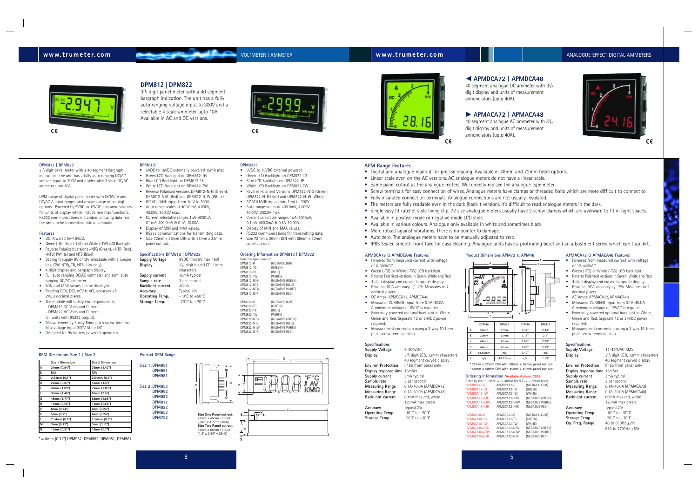# **DPM Dimensions Size 1 | Size 2**

# **www.trumeter.com** VOLTMETER | AMMETER **www.trumeter.com** ANALOGUE EFFECT DIGITAL AMMETERS

### **APMDCA72 & APMDCA48 Features**

**Supply Voltage** 6-300VDC **Display** 3<sup>3</sup>/<sub>4</sub> digit LCD, 12mm characters 40 segment curved display **Environ Protection** IP 65 front panel only **Display response time** 15mSec **Supply current** 3mA typical<br> **Sample rate** 3 per second **Sample rate<br>Measuring Range Measuring Range** 0.1A-40.0A (APMDCA72)<br>**Measuring Range** 0.1A-30.0A (APMDCA48) **Measuring Range** 0.1A-30.0A (APMDCA48)<br>**Backlight current** 80mA max red. white **80mA max red, white** 

**Operating Temp.** 

**Accuracy** Typical 2%<br> **Operating Temp.** -10°C to +50°C **Storage Temp.** -20°C to +70°C.

- Powered from measured current with voltage of 6-300VDC.
- Green (-TG) or White (-TW) LCD backlight.
- Reverse Polarised versions in Green, White and Red.
- 4 digit display and curved bargraph display.
- Reading, DCA accuracy +/- 2%. Measures to 2
- decimal places.
- DC Amps: APMDCA72, APMDCA48 • Measured CURRENT input from 0.1A-40.0A.
- A minimum voltage of 6VDC is required. • Externally powered optional backlight in White,
- Green and Red. Separate 12 or 24VDC power required.
- Measurement connection using a 3 way 10.1mm pitch screw terminal block.

### **Specifications**

120mA max green

**Supply Voltage** 12-440VAC RMS **Display** 

### **Product Dimensions APM72 & APM48**

**Display response time** 15mSec **Supply current** 3mA typical<br> **Sample rate** 3 per second **Sample rate<br>Measuring Range Backlight current** 

**Accuracy** Typical 2%<br>**Operating Temp.** -10°C to +50°C **Operating Temp.** -10°C to +50°C<br>**Storage Temp.** -20°C to +70°C. Storage Temp.<br>Op. Freg. Range

### **Ordering Information \*Available Autumn 2008**

 $3<sup>3</sup>/<sub>4</sub>$  digit LCD, 12mm characters 40 segment curved display **Environ Protection** IP 65 front panel only **Measuring Range** 0.1A-40.0A (APMACA72)<br>**Measuring Range** 0.1A-30.0A (APMACA48) 0.1A-30.0A (APMACA48)<br>80mA max red. white 120mA max green **Op. Freq. Range** 40 to 650Hz ±2% 650 to 2700Hz ±5%

40 segment analogue DC ammeter with  $3<sup>3</sup>/<sub>4</sub>$ digit display and units of measurement annunciators (upto 40A).

40 segment analogue AC ammeter with  $3<sup>3</sup>/4$ digit display and units of measurement



| Order by type number: $48 = 48$ mm bezel   72 = 72mm bezel |              |                  |
|------------------------------------------------------------|--------------|------------------|
| *APMDCA48-R                                                | APMDCA72-R   | (NO BACKLIGHT)   |
| *APMDCA48-TG                                               | APMDCA72-TG  | (GREEN)          |
| *APMDCA48-TW                                               | APMDCA72-TW  | (WHITE)          |
| *APMDCA48-NTG                                              | APMDCA72-NTG | (NEGATIVE GREEN) |
| *APMDCA48-NTW                                              | APMDCA72-NTW | (NEGATIVE WHITE) |
| *APMDCA48-NTR                                              | APMDCA72-NTR | (NEGATIVE RED)   |
| *APMACA48-R                                                | APMACA72-R   | (NO BACKLIGHT)   |
| *APMACA48-TG                                               | APMACA72-TG  | (GREEN)          |
| *APMACA48-TW                                               | APMACA72-TW  | (WHITE)          |
| *APMACA48-NTG                                              | APMACA72-NTG | (NEGATIVE GREEN) |
| *APMACA48-NTW                                              | APMACA72-NTW | (NEGATIVE WHITE) |
| *APMACA48-NTR                                              | APMACA72-NTR | (NEGATIVE RED)   |
|                                                            |              |                  |

### **APMACA72 & APMACA48 Features**

- Powered from measured current with voltage of 12-440VAC.
- Green (-TG) or White (-TW) LCD backlight.
- Reverse Polarised versions in Green, White and Red.
- 4 digit display and curved bargraph display.
- Reading, ACA accuracy +/- 2%. Measures to 2
- decimal places. • AC Amps: APMACA72, APMACA48
- Measured CURRENT input from 0.1A-40.OA. A minimum voltage of 12VAC is required.
- Externally powered optional backlight in White, Green and Red. Separate 12 or 24VDC power required.
- Measurement connection using a 3 way 10.1mm pitch screw terminal block.
- Green LCD Backlight on DPM812-TG
- Blue LCD Backlight on DPM812-TB
- White LCD Backlight on DPM812-TW
- Reverse Polarised Versions DPM812-NTG (Green),
- DPM812-NTR (Red) and DPM812-NTW (White) • DC VOLTAGE input from 1mV to 300V.
- Auto range scales at 400.0mV, 4.000V, 40.00V, 300.0V max.
- Current selectable ranges 1uA-4000uA, 0.1mA-400.0mA & 0.1A-10.00A.
- Display of MIN and MAX values.
- RS232 communications for transmitting data. • Size 72mm x 36mm DIN with 68mm x 33mm

### **Specifications**

• RS232 communications for transmitting data. • Size 72mm x 36mm DIN with 68mm x 33mm

## O **APMDCA72 | APMDCA48**

# P **APMACA72 | APMACA48**

# annunciators (upto 40A).

### **DPM812 | DPM822**

33 /4 digit panel meter with a 40 segment bargraph indication. The unit has a fully auto ranging DC/AC voltage input to 300V and a selectable 3 scale DC/AC ammeter upto 10A.



DPM range of digital panel meter with DC/AC V and DC/AC A input ranges and a wide range of backlight options. Powered by 5VDC to 16VDC and annunciators for units of display which include min max functions. RS232 communications is standard allowing data from the units to be transmitted into a computer.

### **Features**

**B**  $C \left| \right. 48 \text{mm}$ **D**  $E \mid 61.60 \text{mm}$ 

| *APMACA48-R   |
|---------------|
| *APMACA48-TG  |
| *APMACA48-TW  |
| *APMACA48-NTG |
| *APMACA48-NTW |
| *APMACA48-NTR |
|               |

- DC Powered 5V-16VDC.
- Green (-TG), Blue (-TB) and White (-TW) LCD Backlight. • Reverse Polarised versions –NTG (Green), –NTR (Red),
- -NTW (White) and NTB (Blue) • Backlight supply 9V or12V selectable with a jumper link. (TW, NTW, TB, NTB, 12V only)
- 4 digit display and bargraph display.
- Full auto ranging DC/AC voltmeter and semi auto ranging DC/AC ammeter.
- MIN and MAX values can be displayed. • Reading DCV, DCI, ACV & ACI, accuracy +/-2%. 3 decimal places.
- The module will satisfy two requirements - DPM812 DC Volts and Current - DPM822 AC Volts and Current (all units with RS232 output).
- Measurement by 3 way 5mm pitch screw terminal. Max voltage input 300V AC or DC.
- Designed for 9V battery powered operation.

### **DPM812:**  • 5VDC to 16VDC externally powered 15mA max



panel cut out.

### **Specifications DPM812 | DPM822**

| <b>Supply Voltage</b> | 9VDC (min 5V max 16V)               |
|-----------------------|-------------------------------------|
| Display               | $33/4$ digit black LCD, 11mm        |
|                       | characters                          |
| Supply current        | 15mA typical                        |
| Sample rate           | 3 per second                        |
| Backlight current     | 40 <sub>m</sub> A                   |
| Accuracy              | Typical 2%                          |
| Operating Temp.       | $-10^{\circ}$ C to $+50^{\circ}$ C  |
| Storage Temp.         | $-20^{\circ}$ C to $+70^{\circ}$ C. |
|                       |                                     |

### **DPM822:**

- 5VDC to 16VDC external powered
- Green LCD Backlight on DPM822-TG
- Blue LCD Backlight on DPM822-TB
- White LCD Backlight on DPM822-TW
- Reverse Polarised Versions DPM822-NTG (Green),
- DPM822-NTR (Red) and DPM822-NTW (White) • AC VOLTAGE input from 1mV to 300V.
- Auto range scales at 400.0mV, 4.000V, 40.00V, 300.0V max.
- Current selectable ranges 1uA-4000uA, 0.1mA-400.0mA & 0.1A-10.00A.
- Display of MIN and MAX values.

panel cut out.

### **Ordering Information DPM812 | DPM822**

| Order by type number: |                  |
|-----------------------|------------------|
| DPM812-R              | (NO BACKLIGHT)   |
| DPM812-TG             | (GREEN)          |
| DPM812-TB             | (BLUE)           |
| DPM812-TW             | (WHITE)          |
| DPM812-NTG            | (NEGATIVE GREEN) |
| DPM812-NTB            | (NEGATIVE BLUE)  |
| DPM812-NTW            | (NEGATIVE WHITE) |
| DPM812-NTR            | (NEGATIVE RED)   |
|                       |                  |
| DPM822-R              | (NO BACKLIGHT)   |
| DPM822-TG             | (GREEN)          |
| DPM822-TB             | (BLUE)           |
| DPM822-TW             | (WHITE)          |
| DPM822-NTG            | (NEGATIVE GREEN) |
| DPM822-NTB            | (NEGATIVE BLUE)  |
| DPM822-NTW            | (NEGATIVE WHITE) |
| DPM822-NTR            | (NFGATIVF RFD)   |



# **DPM812 | DPM822**

33 /4 digit panel meter with a 40 segment bargraph indication. The unit has a fully auto ranging voltage input to 300V and a selectable 4 scale ammeter upto 10A. Available in AC and DC versions.





• Digital and analogue readout for precise reading. Available in 48mm and 72mm bezel options.

- **APM Range Features**
- 
- Linear scale even on the AC versions. AC analogue meters do not have a linear scale.
- Same panel cutout as the analogue meters. Will directly replace the analogue type meter.
- Screw terminals for easy connection of wires. Analogue meters have clamps or threaded bolts which are more difficult to connect to. • Fully insulated connection terminals. Analogue connections are not usually insulated.
- 
- The meters are fully readable even in the dark (backlit version). It's difficult to read analogue meters in the dark.
- Single easy fit ratchet style fixing clip. 72 size analogue meters usually have 2 screw clamps which are awkward to fit in tight spaces.
- Available in positive mode or negative mode LCD style.
- Available in various colours. Analogue only avaliable in white and sometimes black.
- More robust against vibrations. There is no pointer to damage.
- Auto zero. The analogue meters have to be manually adjusted to zero.
- 

• IP65 Sealed smooth front face for easy cleaning. Analogue units have a protruding bezel and an adjustment screw which can trap dirt.

**A**



| 57mm    | 1.37" | 2.24" |
|---------|-------|-------|
| 53mm    | 1.18" | 2.1"  |
| 72mm    | 1.89" | 2.83" |
| 72mm    | 1.89" | 2.83" |
| n/a     | 2.42" | n/a   |
| 49.77mm | n/a   | 1.59" |

**\* 72mm x 72mm DIN with 68mm x 68mm panel cut out. \* 48mm x 48mm DIN with 45mm x 45mm panel cut out.**

|              | Size 1 Dimensions  | Size 2 Dimensions  |  |
|--------------|--------------------|--------------------|--|
| A            | 24mm (0.94")       | 36mm (1.42")       |  |
| B            | N/A                | N/A                |  |
| $\mathsf{C}$ | 2.54mm(0.1")       | $2.54$ mm $(0.1")$ |  |
| D            | 22mm (0.87")       | 33mm (1.3")        |  |
| E            | 48mm (1.89")       | 72mm (2.83")       |  |
| F            | 37mm (1.46")       | 61mm $(2.4")$      |  |
| G            | 45mm (1.77")       | 68mm (2.68")       |  |
| H            | 14mm (0.55")       | 14mm (0.55")       |  |
| J*           | 6mm (0.24")        | 6mm (0.24")        |  |
| K            | 5mm (0.2")         | 6mm (0.24")        |  |
| L            | $2.54$ mm $(0.1")$ | $2.54$ mm $(0.1")$ |  |
| м            | 3mm (0.12")        | 3mm (0.12")        |  |
| N            | 13mm (0.51")       | 18mm (0.7")        |  |
|              |                    |                    |  |